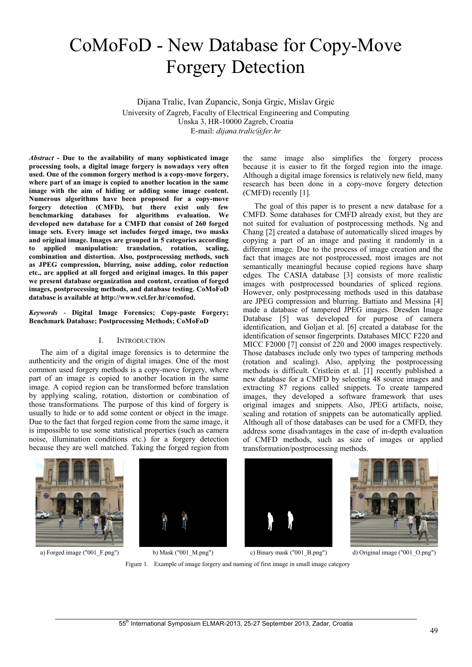# CoMoFoD - New Database for Copy-Move Forgery Detection

Dijana Tralic, Ivan Zupancic, Sonja Grgic, Mislav Grgic University of Zagreb, Faculty of Electrical Engineering and Computing Unska 3, HR-10000 Zagreb, Croatia E-mail: *dijana.tralic@fer.hr*

*Abstract* **- Due to the availability of many sophisticated image processing tools, a digital image forgery is nowadays very often used. One of the common forgery method is a copy-move forgery, where part of an image is copied to another location in the same image with the aim of hiding or adding some image content. Numerous algorithms have been proposed for a copy-move forgery detection (CMFD), but there exist only few benchmarking databases for algorithms evaluation. We developed new database for a CMFD that consist of 260 forged image sets. Every image set includes forged image, two masks and original image. Images are grouped in 5 categories according to applied manipulation: translation, rotation, scaling, combination and distortion. Also, postprocessing methods, such as JPEG compression, blurring, noise adding, color reduction etc., are applied at all forged and original images. In this paper we present database organization and content, creation of forged images, postprocessing methods, and database testing. CoMoFoD database is available at http://www.vcl.fer.hr/comofod.** 

*Keywords* - **Digital Image Forensics; Copy-paste Forgery; Benchmark Database; Postprocessing Methods; CoMoFoD**

# I. INTRODUCTION

The aim of a digital image forensics is to determine the authenticity and the origin of digital images. One of the most common used forgery methods is a copy-move forgery, where part of an image is copied to another location in the same image. A copied region can be transformed before translation by applying scaling, rotation, distortion or combination of those transformations. The purpose of this kind of forgery is usually to hide or to add some content or object in the image. Due to the fact that forged region come from the same image, it is impossible to use some statistical properties (such as camera noise, illumination conditions etc.) for a forgery detection because they are well matched. Taking the forged region from

the same image also simplifies the forgery process because it is easier to fit the forged region into the image. Although a digital image forensics is relatively new field, many research has been done in a copy-move forgery detection (CMFD) recently [1].

The goal of this paper is to present a new database for a CMFD. Some databases for CMFD already exist, but they are not suited for evaluation of postprocessing methods. Ng and Chang [2] created a database of automatically sliced images by copying a part of an image and pasting it randomly in a different image. Due to the process of image creation and the fact that images are not postprocessed, most images are not semantically meaningful because copied regions have sharp edges. The CASIA database [3] consists of more realistic images with postprocessed boundaries of spliced regions. However, only postprocessing methods used in this database are JPEG compression and blurring. Battiato and Messina [4] made a database of tampered JPEG images. Dresden Image Database [5] was developed for purpose of camera identification, and Goljan et al. [6] created a database for the identification of sensor fingerprints. Databases MICC F220 and MICC F2000 [7] consist of 220 and 2000 images respectively. Those databases include only two types of tampering methods (rotation and scaling). Also, applying the postprocessing methods is difficult. Cristlein et al. [1] recently published a new database for a CMFD by selecting 48 source images and extracting 87 regions called snippets. To create tampered images, they developed a software framework that uses original images and snippets. Also, JPEG artifacts, noise, scaling and rotation of snippets can be automatically applied. Although all of those databases can be used for a CMFD, they address some disadvantages in the case of in-depth evaluation of CMFD methods, such as size of images or applied transformation/postprocessing methods.









a) Forged image ("001\_F.png") b) Mask ("001\_M.png") c) Binary mask ("001\_B.png") d) Original image ("001\_O.png")

Figure 1. Example of image forgery and naming of first image in small image category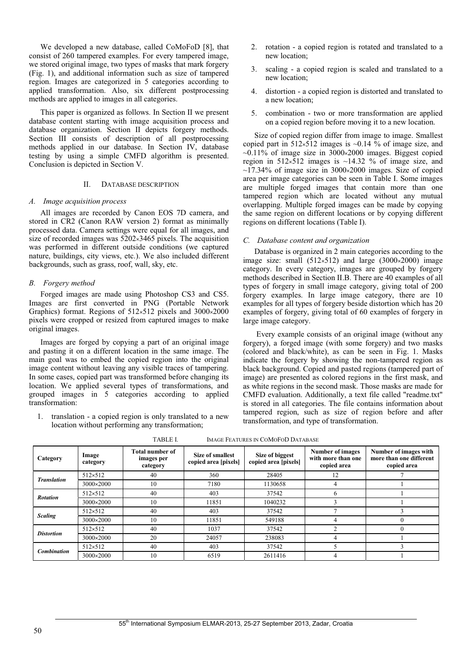We developed a new database, called CoMoFoD [8], that consist of 260 tampered examples. For every tampered image, we stored original image, two types of masks that mark forgery (Fig. 1), and additional information such as size of tampered region. Images are categorized in 5 categories according to applied transformation. Also, six different postprocessing methods are applied to images in all categories.

This paper is organized as follows. In Section II we present database content starting with image acquisition process and database organization. Section II depicts forgery methods. Section III consists of description of all postprocessing methods applied in our database. In Section IV, database testing by using a simple CMFD algorithm is presented. Conclusion is depicted in Section V.

# II. DATABASE DESCRIPTION

#### *A. Image acquisition process*

All images are recorded by Canon EOS 7D camera, and stored in CR2 (Canon RAW version 2) format as minimally processed data. Camera settings were equal for all images, and size of recorded images was  $5202\times3465$  pixels. The acquisition was performed in different outside conditions (we captured nature, buildings, city views, etc.). We also included different backgrounds, such as grass, roof, wall, sky, etc.

# *B. Forgery method*

Forged images are made using Photoshop CS3 and CS5. Images are first converted in PNG (Portable Network Graphics) format. Regions of  $512\times512$  pixels and  $3000\times2000$ pixels were cropped or resized from captured images to make original images.

Images are forged by copying a part of an original image and pasting it on a different location in the same image. The main goal was to embed the copied region into the original image content without leaving any visible traces of tampering. In some cases, copied part was transformed before changing its location. We applied several types of transformations, and grouped images in 5 categories according to applied transformation:

1. translation - a copied region is only translated to a new location without performing any transformation;

- 2. rotation a copied region is rotated and translated to a new location;
- 3. scaling a copied region is scaled and translated to a new location;
- 4. distortion a copied region is distorted and translated to a new location;
- 5. combination two or more transformation are applied on a copied region before moving it to a new location.

Size of copied region differ from image to image. Smallest copied part in  $512\times512$  images is  $\sim 0.14$  % of image size, and  $\sim 0.11\%$  of image size in 3000×2000 images. Biggest copied region in  $512\times512$  images is  $\sim$ 14.32 % of image size, and  $\sim$ 17.34% of image size in 3000×2000 images. Size of copied area per image categories can be seen in Table I. Some images are multiple forged images that contain more than one tampered region which are located without any mutual overlapping. Multiple forged images can be made by copying the same region on different locations or by copying different regions on different locations (Table I).

## *C. Database content and organization*

Database is organized in 2 main categories according to the image size: small  $(512\times512)$  and large  $(3000\times2000)$  image category. In every category, images are grouped by forgery methods described in Section II.B. There are 40 examples of all types of forgery in small image category, giving total of 200 forgery examples. In large image category, there are 10 examples for all types of forgery beside distortion which has 20 examples of forgery, giving total of 60 examples of forgery in large image category.

 Every example consists of an original image (without any forgery), a forged image (with some forgery) and two masks (colored and black/white), as can be seen in Fig. 1. Masks indicate the forgery by showing the non-tampered region as black background. Copied and pasted regions (tampered part of image) are presented as colored regions in the first mask, and as white regions in the second mask. Those masks are made for CMFD evaluation. Additionally, a text file called "readme.txt" is stored in all categories. The file contains information about tampered region, such as size of region before and after transformation, and type of transformation.

| 17DLC 1.<br>IMAGE LEATURES IN COMOTOD DATABASE |                   |                                                  |                                          |                                         |                                                              |                                                                 |  |  |  |  |
|------------------------------------------------|-------------------|--------------------------------------------------|------------------------------------------|-----------------------------------------|--------------------------------------------------------------|-----------------------------------------------------------------|--|--|--|--|
| Category                                       | Image<br>category | <b>Total number of</b><br>images per<br>category | Size of smallest<br>copied area [pixels] | Size of biggest<br>copied area [pixels] | <b>Number of images</b><br>with more than one<br>copied area | Number of images with<br>more than one different<br>copied area |  |  |  |  |
| <b>Translation</b>                             | $512 \times 512$  | 40                                               | 360                                      | 28405                                   | 12                                                           |                                                                 |  |  |  |  |
|                                                | 3000×2000         | 10                                               | 7180                                     | 1130658                                 |                                                              |                                                                 |  |  |  |  |
| <b>Rotation</b>                                | $512 \times 512$  | 40                                               | 403                                      | 37542                                   | 6                                                            |                                                                 |  |  |  |  |
|                                                | 3000×2000         | 10                                               | 11851                                    | 1040232                                 |                                                              |                                                                 |  |  |  |  |
| <b>Scaling</b>                                 | $512 \times 512$  | 40                                               | 403                                      | 37542                                   |                                                              |                                                                 |  |  |  |  |
|                                                | 3000×2000         | 10                                               | 11851                                    | 549188                                  |                                                              | 0                                                               |  |  |  |  |
| <b>Distortion</b>                              | $512 \times 512$  | 40                                               | 1037                                     | 37542                                   | 2                                                            | $\Omega$                                                        |  |  |  |  |
|                                                | 3000×2000         | 20                                               | 24057                                    | 238083                                  |                                                              |                                                                 |  |  |  |  |
| <b>Combination</b>                             | $512 \times 512$  | 40                                               | 403                                      | 37542                                   |                                                              |                                                                 |  |  |  |  |
|                                                | 3000×2000         | 10                                               | 6519                                     | 2611416                                 |                                                              |                                                                 |  |  |  |  |

TABLE I. IMAGE FEATURES IN COMOFOD DATABASE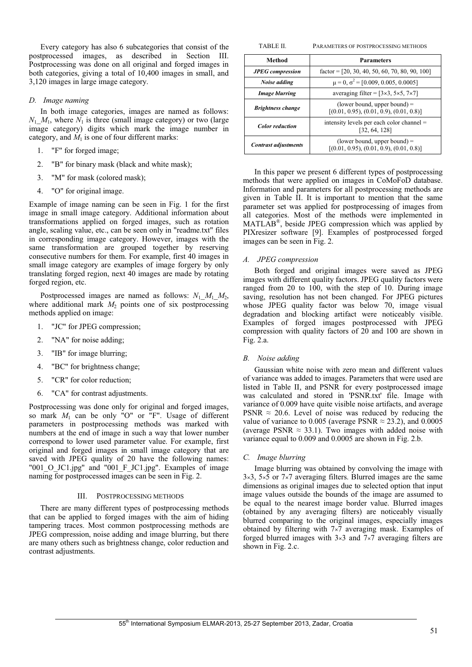Every category has also 6 subcategories that consist of the postprocessed images, as described in Section III. Postprocessing was done on all original and forged images in both categories, giving a total of 10,400 images in small, and 3,120 images in large image category.

# *D. Image naming*

In both image categories, images are named as follows:  $N_1$   $M_1$ , where  $N_1$  is three (small image category) or two (large image category) digits which mark the image number in category, and  $M_1$  is one of four different marks:

- 1. "F" for forged image;
- 2. "B" for binary mask (black and white mask);
- 3. "M" for mask (colored mask);
- 4. "O" for original image.

Example of image naming can be seen in Fig. 1 for the first image in small image category. Additional information about transformations applied on forged images, such as rotation angle, scaling value, etc., can be seen only in "readme.txt" files in corresponding image category. However, images with the same transformation are grouped together by reserving consecutive numbers for them. For example, first 40 images in small image category are examples of image forgery by only translating forged region, next 40 images are made by rotating forged region, etc.

Postprocessed images are named as follows:  $N_1$   $M_1$   $M_2$ , where additional mark  $M_2$  points one of six postprocessing methods applied on image:

- 1. "JC" for JPEG compression;
- 2. "NA" for noise adding;
- 3. "IB" for image blurring;
- 4. "BC" for brightness change;
- 5. "CR" for color reduction;
- 6. "CA" for contrast adjustments.

Postprocessing was done only for original and forged images, so mark *M*1 can be only "O" or "F". Usage of different parameters in postprocessing methods was marked with numbers at the end of image in such a way that lower number correspond to lower used parameter value. For example, first original and forged images in small image category that are saved with JPEG quality of 20 have the following names: "001 O JC1.jpg" and "001 F JC1.jpg". Examples of image naming for postprocessed images can be seen in Fig. 2.

#### III. POSTPROCESSING METHODS

There are many different types of postprocessing methods that can be applied to forged images with the aim of hiding tampering traces. Most common postprocessing methods are JPEG compression, noise adding and image blurring, but there are many others such as brightness change, color reduction and contrast adjustments.

| TABLE II.                   | PARAMETERS OF POSTPROCESSING METHODS                                         |  |  |  |
|-----------------------------|------------------------------------------------------------------------------|--|--|--|
| Method                      | <b>Parameters</b>                                                            |  |  |  |
| <b>JPEG</b> compression     | factor = $[20, 30, 40, 50, 60, 70, 80, 90, 100]$                             |  |  |  |
| Noise adding                | $\mu = 0$ , $\sigma^2 = [0.009, 0.005, 0.0005]$                              |  |  |  |
| <b>Image blurring</b>       | averaging filter = $[3\times3, 5\times5, 7\times7]$                          |  |  |  |
| <b>Brightness change</b>    | (lower bound, upper bound) $=$<br>$[(0.01, 0.95), (0.01, 0.9), (0.01, 0.8)]$ |  |  |  |
| <b>Color</b> reduction      | intensity levels per each color channel =<br>[32, 64, 128]                   |  |  |  |
| <b>Contrast adjustments</b> | (lower bound, upper bound) $=$<br>$[(0.01, 0.95), (0.01, 0.9), (0.01, 0.8)]$ |  |  |  |

In this paper we present 6 different types of postprocessing methods that were applied on images in CoMoFoD database. Information and parameters for all postprocessing methods are given in Table II. It is important to mention that the same parameter set was applied for postprocessing of images from all categories. Most of the methods were implemented in MATLAB®, beside JPEG compression which was applied by PIXresizer software [9]. Examples of postprocessed forged images can be seen in Fig. 2.

#### *A. JPEG compression*

Both forged and original images were saved as JPEG images with different quality factors. JPEG quality factors were ranged from 20 to 100, with the step of 10. During image saving, resolution has not been changed. For JPEG pictures whose JPEG quality factor was below 70, image visual degradation and blocking artifact were noticeably visible. Examples of forged images postprocessed with JPEG compression with quality factors of 20 and 100 are shown in Fig. 2.a.

# *B. Noise adding*

Gaussian white noise with zero mean and different values of variance was added to images. Parameters that were used are listed in Table II, and PSNR for every postprocessed image was calculated and stored in 'PSNR.txt' file. Image with variance of 0.009 have quite visible noise artifacts, and average PSNR  $\approx$  20.6. Level of noise was reduced by reducing the value of variance to 0.005 (average PSNR  $\approx$  23.2), and 0.0005 (average PSNR  $\approx$  33.1). Two images with added noise with variance equal to 0.009 and 0.0005 are shown in Fig. 2.b.

#### *C. Image blurring*

Image blurring was obtained by convolving the image with  $3\times3$ ,  $5\times5$  or  $7\times7$  averaging filters. Blurred images are the same dimensions as original images due to selected option that input image values outside the bounds of the image are assumed to be equal to the nearest image border value. Blurred images (obtained by any averaging filters) are noticeably visually blurred comparing to the original images, especially images obtained by filtering with  $7\times7$  averaging mask. Examples of forged blurred images with  $3\times3$  and  $7\times7$  averaging filters are shown in Fig. 2.c.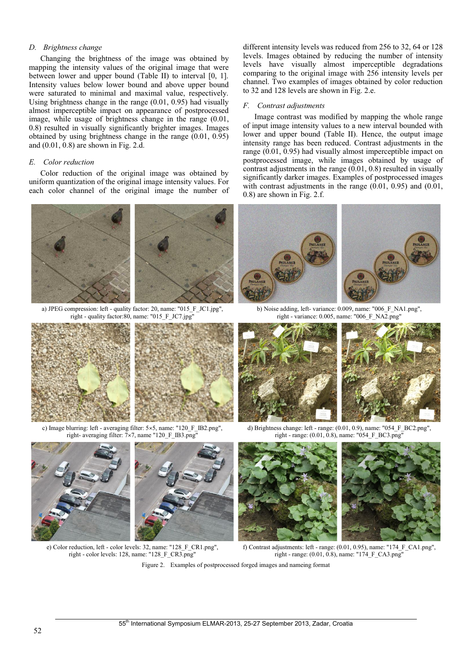# *D. Brightness change*

Changing the brightness of the image was obtained by mapping the intensity values of the original image that were between lower and upper bound (Table II) to interval [0, 1]. Intensity values below lower bound and above upper bound were saturated to minimal and maximal value, respectively. Using brightness change in the range (0.01, 0.95) had visually almost imperceptible impact on appearance of postprocessed image, while usage of brightness change in the range (0.01, 0.8) resulted in visually significantly brighter images. Images obtained by using brightness change in the range (0.01, 0.95) and (0.01, 0.8) are shown in Fig. 2.d.

# *E. Color reduction*

Color reduction of the original image was obtained by uniform quantization of the original image intensity values. For each color channel of the original image the number of



a) JPEG compression: left - quality factor: 20, name: "015\_F\_JC1.jpg", right - quality factor:80, name: "015\_F\_JC7.jpg"





c) Image blurring: left - averaging filter: 5×5, name: "120\_F\_IB2.png", right- averaging filter: 7×7, name "120\_F\_IB3.png"



e) Color reduction, left - color levels: 32, name: "128\_F\_CR1.png", right - color levels: 128, name: "128 F\_CR3.png"

different intensity levels was reduced from 256 to 32, 64 or 128 levels. Images obtained by reducing the number of intensity levels have visually almost imperceptible degradations comparing to the original image with 256 intensity levels per channel. Two examples of images obtained by color reduction to 32 and 128 levels are shown in Fig. 2.e.

#### *F. Contrast adjustments*

Image contrast was modified by mapping the whole range of input image intensity values to a new interval bounded with lower and upper bound (Table II). Hence, the output image intensity range has been reduced. Contrast adjustments in the range (0.01, 0.95) had visually almost imperceptible impact on postprocessed image, while images obtained by usage of contrast adjustments in the range (0.01, 0.8) resulted in visually significantly darker images. Examples of postprocessed images with contrast adjustments in the range (0.01, 0.95) and (0.01, 0.8) are shown in Fig. 2.f.



b) Noise adding, left- variance: 0.009, name: "006\_F\_NA1.png", right - variance: 0.005, name: "006 F\_NA2.png"





d) Brightness change: left - range: (0.01, 0.9), name: "054\_F\_BC2.png", right - range: (0.01, 0.8), name: "054\_F\_BC3.png"





f) Contrast adjustments: left - range: (0.01, 0.95), name: "174\_F\_CA1.png", right - range: (0.01, 0.8), name: "174\_F\_CA3.png"

Figure 2. Examples of postprocessed forged images and nameing format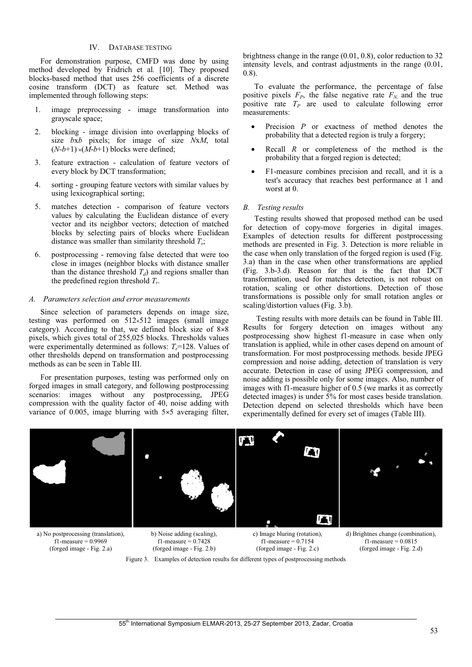# IV. DATABASE TESTING

For demonstration purpose, CMFD was done by using method developed by Fridrich et al*.* [10]. They proposed blocks-based method that uses 256 coefficients of a discrete cosine transform (DCT) as feature set. Method was implemented through following steps:

- 1. image preprocessing image transformation into grayscale space;
- 2. blocking image division into overlapping blocks of size *b*x*b* pixels; for image of size *N*x*M*, total  $(N-b+1) \times (M-b+1)$  blocks were defined;
- 3. feature extraction calculation of feature vectors of every block by DCT transformation;
- 4. sorting grouping feature vectors with similar values by using lexicographical sorting;
- 5. matches detection comparison of feature vectors values by calculating the Euclidean distance of every vector and its neighbor vectors; detection of matched blocks by selecting pairs of blocks where Euclidean distance was smaller than similarity threshold *Ts*;
- 6. postprocessing removing false detected that were too close in images (neighbor blocks with distance smaller than the distance threshold  $T_d$ ) and regions smaller than the predefined region threshold *Tr*.

#### *A. Parameters selection and error measurements*

Since selection of parameters depends on image size, testing was performed on  $512 \times 512$  images (small image category). According to that, we defined block size of  $8\times8$ pixels, which gives total of 255,025 blocks. Thresholds values were experimentally determined as follows:  $T<sub>r</sub>=128$ . Values of other thresholds depend on transformation and postprocessing methods as can be seen in Table III.

For presentation purposes, testing was performed only on forged images in small category, and following postprocessing scenarios: images without any postprocessing, JPEG compression with the quality factor of 40, noise adding with variance of  $0.005$ , image blurring with  $5\times 5$  averaging filter, brightness change in the range (0.01, 0.8), color reduction to 32 intensity levels, and contrast adjustments in the range (0.01, 0.8).

To evaluate the performance, the percentage of false positive pixels  $F_P$ , the false negative rate  $F_N$  and the true positive rate  $T_p$  are used to calculate following error measurements:

- -Precision *P* or exactness of method denotes the probability that a detected region is truly a forgery;
- - Recall *R* or completeness of the method is the probability that a forged region is detected;
- - F1-measure combines precision and recall, and it is a test's accuracy that reaches best performance at 1 and worst at 0.

#### *B. Testing results*

Testing results showed that proposed method can be used for detection of copy-move forgeries in digital images. Examples of detection results for different postprocessing methods are presented in Fig. 3. Detection is more reliable in the case when only translation of the forged region is used (Fig. 3.a) than in the case when other transformations are applied (Fig. 3.b-3.d). Reason for that is the fact that DCT transformation, used for matches detection, is not robust on rotation, scaling or other distortions. Detection of those transformations is possible only for small rotation angles or scaling/distortion values (Fig. 3.b).

 Testing results with more details can be found in Table III. Results for forgery detection on images without any postprocessing show highest f1-measure in case when only translation is applied, while in other cases depend on amount of transformation. For most postprocessing methods. beside JPEG compression and noise adding, detection of translation is very accurate. Detection in case of using JPEG compression, and noise adding is possible only for some images. Also, number of images with f1-measure higher of 0.5 (we marks it as correctly detected images) is under 5% for most cases beside translation. Detection depend on selected thresholds which have been experimentally defined for every set of images (Table III).



a) No postprocessing (translation),  $f1$ -measure = 0.9969 (forged image - Fig. 2.a)

b) Noise adding (scaling), f1-measure  $= 0.7428$ (forged image - Fig. 2.b)

c) Image bluring (rotation),  $f1-measure = 0.7154$ (forged image - Fig. 2.c)

d) Brightnes change (combination),  $f1-measure = 0.0815$ (forged image - Fig. 2.d)

Figure 3. Examples of detection results for different types of postprocessing methods